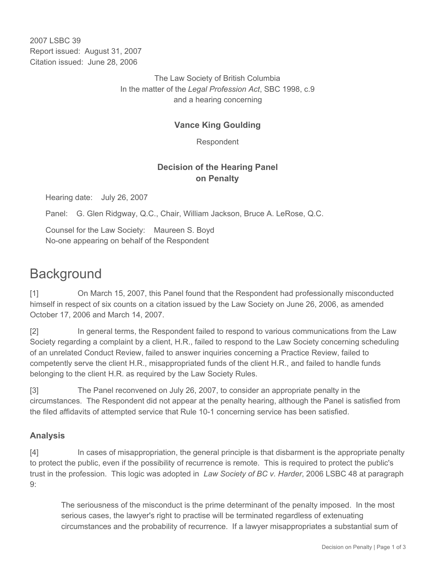2007 LSBC 39 Report issued: August 31, 2007 Citation issued: June 28, 2006

> The Law Society of British Columbia In the matter of the *Legal Profession Act*, SBC 1998, c.9 and a hearing concerning

#### **Vance King Goulding**

Respondent

#### **Decision of the Hearing Panel on Penalty**

Hearing date: July 26, 2007

Panel: G. Glen Ridgway, Q.C., Chair, William Jackson, Bruce A. LeRose, Q.C.

Counsel for the Law Society: Maureen S. Boyd No-one appearing on behalf of the Respondent

# **Background**

[1] On March 15, 2007, this Panel found that the Respondent had professionally misconducted himself in respect of six counts on a citation issued by the Law Society on June 26, 2006, as amended October 17, 2006 and March 14, 2007.

[2] In general terms, the Respondent failed to respond to various communications from the Law Society regarding a complaint by a client, H.R., failed to respond to the Law Society concerning scheduling of an unrelated Conduct Review, failed to answer inquiries concerning a Practice Review, failed to competently serve the client H.R., misappropriated funds of the client H.R., and failed to handle funds belonging to the client H.R. as required by the Law Society Rules.

[3] The Panel reconvened on July 26, 2007, to consider an appropriate penalty in the circumstances. The Respondent did not appear at the penalty hearing, although the Panel is satisfied from the filed affidavits of attempted service that Rule 10-1 concerning service has been satisfied.

## **Analysis**

[4] In cases of misappropriation, the general principle is that disbarment is the appropriate penalty to protect the public, even if the possibility of recurrence is remote. This is required to protect the public's trust in the profession. This logic was adopted in *Law Society of BC v. Harder*, 2006 LSBC 48 at paragraph 9:

The seriousness of the misconduct is the prime determinant of the penalty imposed. In the most serious cases, the lawyer's right to practise will be terminated regardless of extenuating circumstances and the probability of recurrence. If a lawyer misappropriates a substantial sum of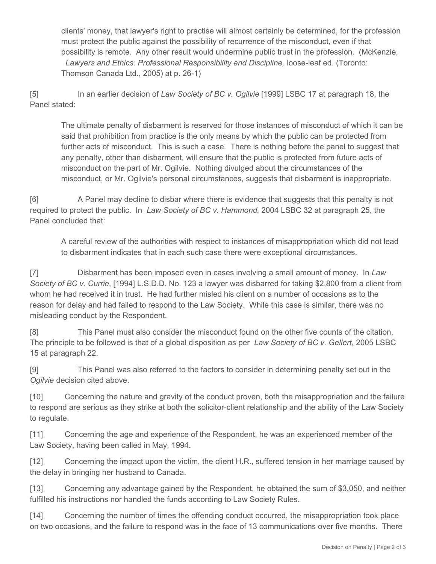clients' money, that lawyer's right to practise will almost certainly be determined, for the profession must protect the public against the possibility of recurrence of the misconduct, even if that possibility is remote. Any other result would undermine public trust in the profession. (McKenzie, Lawyers and Ethics: Professional Responsibility and Discipline, loose-leaf ed. (Toronto: Thomson Canada Ltd., 2005) at p. 26-1)

[5] In an earlier decision of *Law Society of BC v. Ogilvie* [1999] LSBC 17 at paragraph 18, the Panel stated:

The ultimate penalty of disbarment is reserved for those instances of misconduct of which it can be said that prohibition from practice is the only means by which the public can be protected from further acts of misconduct. This is such a case. There is nothing before the panel to suggest that any penalty, other than disbarment, will ensure that the public is protected from future acts of misconduct on the part of Mr. Ogilvie. Nothing divulged about the circumstances of the misconduct, or Mr. Ogilvie's personal circumstances, suggests that disbarment is inappropriate.

[6] A Panel may decline to disbar where there is evidence that suggests that this penalty is not required to protect the public. In *Law Society of BC v. Hammond*, 2004 LSBC 32 at paragraph 25, the Panel concluded that:

A careful review of the authorities with respect to instances of misappropriation which did not lead to disbarment indicates that in each such case there were exceptional circumstances.

[7] Disbarment has been imposed even in cases involving a small amount of money. In *Law Society of BC v. Currie*, [1994] L.S.D.D. No. 123 a lawyer was disbarred for taking \$2,800 from a client from whom he had received it in trust. He had further misled his client on a number of occasions as to the reason for delay and had failed to respond to the Law Society. While this case is similar, there was no misleading conduct by the Respondent.

[8] This Panel must also consider the misconduct found on the other five counts of the citation. The principle to be followed is that of a global disposition as per *Law Society of BC v. Gellert*, 2005 LSBC 15 at paragraph 22.

[9] This Panel was also referred to the factors to consider in determining penalty set out in the *Ogilvie* decision cited above.

[10] Concerning the nature and gravity of the conduct proven, both the misappropriation and the failure to respond are serious as they strike at both the solicitor-client relationship and the ability of the Law Society to regulate.

[11] Concerning the age and experience of the Respondent, he was an experienced member of the Law Society, having been called in May, 1994.

[12] Concerning the impact upon the victim, the client H.R., suffered tension in her marriage caused by the delay in bringing her husband to Canada.

[13] Concerning any advantage gained by the Respondent, he obtained the sum of \$3,050, and neither fulfilled his instructions nor handled the funds according to Law Society Rules.

[14] Concerning the number of times the offending conduct occurred, the misappropriation took place on two occasions, and the failure to respond was in the face of 13 communications over five months. There